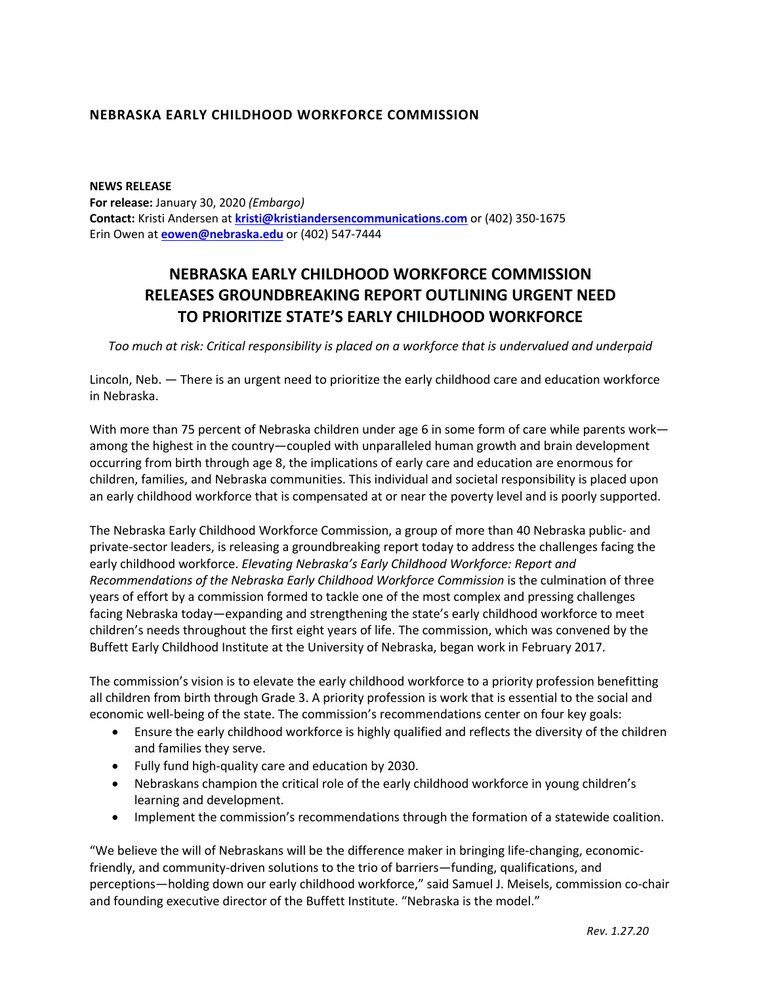## **NEBRASKA EARLY CHILDHOOD WORKFORCE COMMISSION**

**NEWS RELEASE For release:** January 30, 2020 *(Embargo)* **Contact:** Kristi Andersen at **kristi@kristiandersencommunications.com** or (402) 350-1675 Erin Owen at **eowen@nebraska.edu** or (402) 547-7444

## **NEBRASKA EARLY CHILDHOOD WORKFORCE COMMISSION RELEASES GROUNDBREAKING REPORT OUTLINING URGENT NEED TO PRIORITIZE STATE'S EARLY CHILDHOOD WORKFORCE**

*Too much at risk: Critical responsibility is placed on a workforce that is undervalued and underpaid*

Lincoln, Neb. — There is an urgent need to prioritize the early childhood care and education workforce in Nebraska.

With more than 75 percent of Nebraska children under age 6 in some form of care while parents work among the highest in the country—coupled with unparalleled human growth and brain development occurring from birth through age 8, the implications of early care and education are enormous for children, families, and Nebraska communities. This individual and societal responsibility is placed upon an early childhood workforce that is compensated at or near the poverty level and is poorly supported.

The Nebraska Early Childhood Workforce Commission, a group of more than 40 Nebraska public- and private-sector leaders, is releasing a groundbreaking report today to address the challenges facing the early childhood workforce. *Elevating Nebraska's Early Childhood Workforce: Report and Recommendations of the Nebraska Early Childhood Workforce Commission* is the culmination of three years of effort by a commission formed to tackle one of the most complex and pressing challenges facing Nebraska today—expanding and strengthening the state's early childhood workforce to meet children's needs throughout the first eight years of life. The commission, which was convened by the Buffett Early Childhood Institute at the University of Nebraska, began work in February 2017.

The commission's vision is to elevate the early childhood workforce to a priority profession benefitting all children from birth through Grade 3. A priority profession is work that is essential to the social and economic well-being of the state. The commission's recommendations center on four key goals:

- Ensure the early childhood workforce is highly qualified and reflects the diversity of the children and families they serve.
- Fully fund high-quality care and education by 2030.
- Nebraskans champion the critical role of the early childhood workforce in young children's learning and development.
- Implement the commission's recommendations through the formation of a statewide coalition.

"We believe the will of Nebraskans will be the difference maker in bringing life-changing, economicfriendly, and community-driven solutions to the trio of barriers—funding, qualifications, and perceptions—holding down our early childhood workforce," said Samuel J. Meisels, commission co-chair and founding executive director of the Buffett Institute. "Nebraska is the model."